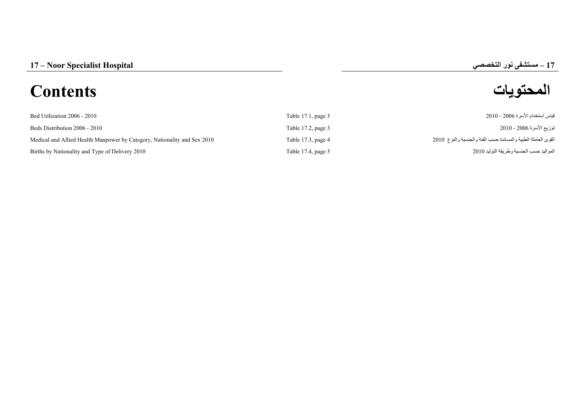## **–**

# **المحتويات Contents**

| Bed Utilization 2006 - 2010                                              | Table 17.1, page 3   | قياس استخدام الأسر ة 2006 - 2010                              |
|--------------------------------------------------------------------------|----------------------|---------------------------------------------------------------|
| Beds Distribution 2006 - 2010                                            | Table 17.2, page 3   | توزيع الأسرة 2006 - 2010                                      |
| Medical and Allied Health Manpower by Category, Nationality and Sex 2010 | Table 17.3, page $4$ | القوى العاملة الطبية والمساندة حسب الفئة والجنسية والنوع 2010 |
| Births by Nationality and Type of Delivery 2010                          | Table 17.4, page 5   | المو اليد حسب الجنسية و طر يقة التو ليد 2010                  |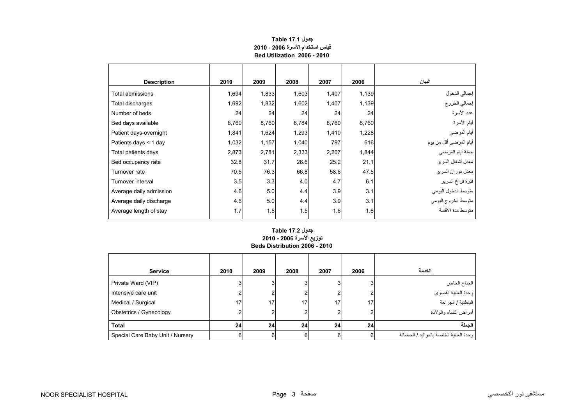<span id="page-1-0"></span>

| <b>Description</b>      | 2010  | 2009  | 2008  | 2007  | 2006  | البيان                  |
|-------------------------|-------|-------|-------|-------|-------|-------------------------|
| Total admissions        | 1,694 | 1,833 | 1,603 | 1,407 | 1,139 | إجمالي الدخول           |
| Total discharges        | 1,692 | 1,832 | 1,602 | 1,407 | 1,139 | إجمالي الخروج           |
| Number of beds          | 24    | 24    | 24    | 24    | 24    | عدد الأسرة              |
| Bed days available      | 8,760 | 8,760 | 8,784 | 8,760 | 8,760 | أيام الأسرة             |
| Patient days-overnight  | 1,841 | 1,624 | 1,293 | 1,410 | 1,228 | أيام المرضي             |
| Patients days < 1 day   | 1,032 | 1,157 | 1,040 | 797   | 616   | أيام المرضىي أقل من يوم |
| Total patients days     | 2,873 | 2,781 | 2,333 | 2,207 | 1,844 | جملة أيام المرضى        |
| Bed occupancy rate      | 32.8  | 31.7  | 26.6  | 25.2  | 21.1  | معدل أشغال السرير       |
| Turnover rate           | 70.5  | 76.3  | 66.8  | 58.6  | 47.5  | معدل دوران السرير       |
| Turnover interval       | 3.5   | 3.3   | 4.0   | 4.7   | 6.1   | فترة فراغ السرير        |
| Average daily admission | 4.6   | 5.0   | 4.4   | 3.9   | 3.1   | متوسط الدخول اليومي     |
| Average daily discharge | 4.6   | 5.0   | 4.4   | 3.9   | 3.1   | متوسط الخروج اليومي     |
| Average length of stay  | 1.7   | 1.5   | 1.5   | 1.6   | 1.6   | منّوسط مدة الأقامة      |

### **جدول 17.1 Table قياس استخدام األسرة 2006 - 2010 Bed Utilization 2006 - 2010**

#### **توزيع األسرة 2006 - 2010 Beds Distribution 2006 - 2010 جدول 17.2 Table**

| <b>Service</b>                   | 2010 | 2009            | 2008 | 2007 | 2006 | الخدمة                                  |
|----------------------------------|------|-----------------|------|------|------|-----------------------------------------|
| Private Ward (VIP)               |      | 3 <sub>1</sub>  |      |      | 3    | الجناح الخاص                            |
| Intensive care unit              |      | 2               |      |      | ົ    | وحدة العناية القصوى                     |
| Medical / Surgical               | 17   | 17 <sub>1</sub> | 17.  | 17   | 17   | الباطنية / الجراحة                      |
| Obstetrics / Gynecology          |      | 2               |      |      |      | أمراض النساء والولادة                   |
| <b>Total</b>                     | 24   | 24 <sup>1</sup> | 24   | 24   | 24   | الحملة                                  |
| Special Care Baby Unit / Nursery | 6    | 6               |      |      | 6    | وحدة العناية الخاصة بالمواليد / الحضانة |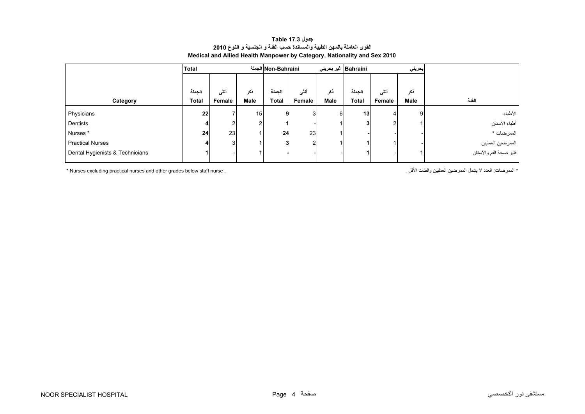| جدول Table 17.3                                                          |  |  |  |  |  |  |
|--------------------------------------------------------------------------|--|--|--|--|--|--|
| القوى العاملة بالمهن الطبية والمساندة حسب الفئة و الجنسية و النوع 2010   |  |  |  |  |  |  |
| Medical and Allied Health Manpower by Category, Nationality and Sex 2010 |  |  |  |  |  |  |

<span id="page-2-0"></span>

|                                 | <b>Total</b> |                | الجملة Non-Bahraini |                 |        | Bahraini   غیر بحرینی<br>إبحريني |                 |        |      |                        |
|---------------------------------|--------------|----------------|---------------------|-----------------|--------|----------------------------------|-----------------|--------|------|------------------------|
|                                 |              |                |                     |                 |        |                                  |                 |        |      |                        |
|                                 | الجملة       | أنشى           | ذكر                 | الحملة          | أنشى   | ذكر                              | الجملة          | أنثى   | ذكر  |                        |
| Category                        | <b>Total</b> | Female         | Male                | <b>Total</b>    | Female | <b>Male</b>                      | <b>Total</b>    | Female | Male | الفئة                  |
| Physicians                      | 22           |                | 15 <sub>1</sub>     | 9 <sub>l</sub>  | 3      | 6                                | 13 <sub>1</sub> | 4      | 9    | الأطباء                |
| Dentists                        |              | າເ             | 2                   | 1               |        |                                  |                 |        |      | أطباء الأسنان          |
| Nurses*                         | 24           | 23             |                     | 24              | 23     |                                  |                 |        |      | الممرضات *             |
| <b>Practical Nurses</b>         |              | 3 <sup>l</sup> |                     | $3\overline{3}$ | 2      |                                  |                 |        |      | الممرضين العمليين      |
| Dental Hygienists & Technicians |              |                |                     |                 |        |                                  |                 |        |      | فنيو صحة الفم والأسنان |

\* Nurses excluding practical nurses and other grades below staff nurse . . األقل والفئات العمليين الممرضين يشمل ال العدد :الممرضات\*